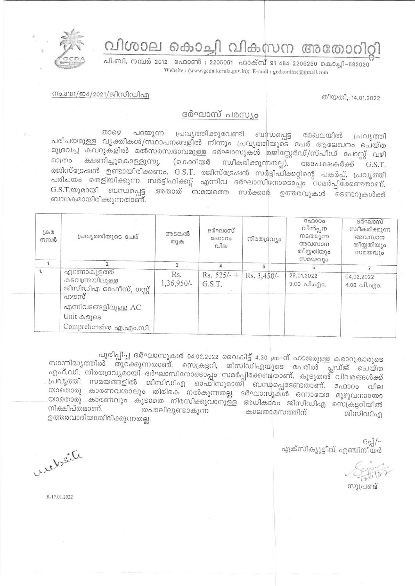വിശാല കൊച്ചി വികസന അതോറി



പി.ബി. നമ്പർ 2012 ഫോൺ : 2205061 ഫാക്സ് 91 484 2206230 കൊച്ചി-682020 Website: (www.gcda.kerala.gov.in); E-mall: gcdaonline@gmail.com

തീയതി, 14.01.2022

## നം.8181/ഇ4/2021/ജിസിഡിഎ

## ദർഘാസ് പരസ്യം

പറയുന്ന പ്രവൃത്തിക്കുവേണ്ടി ബന്ധപ്പെട്ട മേഖലയിൽ താഴെ പ്രവ്യത്തി പരിചയമുള്ള വൃക്തികൾ/സ്ഥാപനങ്ങളിൽ നിന്നും പ്രവൃത്തിയുടെ പേര് ആലേഖനം ചെയ്ത മുദ്രവച്ച കവറുകളിൽ മൽസരസ്വഭാവമുള്ള ദർഘാസുകൾ രജിസ്റ്റേർഡ്/സ്പീഡ് പോസ്റ്റ് വഴി ക്ഷണിച്ചുകൊള്ളുന്നു. മാത്രം (കൊറിയർ സ്ഥീകരിക്കുന്നതല്ല). അപേക്ഷകർക്ക് G.S.T. രജിസ്ട്രേഷൻ ഉണ്ടായിരിക്കണം. G.S.T. രജിസ്ട്രേഷൻ സർട്ടിഫിക്കറ്റിന്റെ പകർപ്പ്, പ്രവൃത്തി പരിചയം തെളിയിക്കുന്ന സർട്ടിഫിക്കറ്റ് എന്നിവ ദർഘാസിനോടൊപ്പം സമർപ്പിക്കേണ്ടതാണ്. G.S.T.യുമായി ബന്ധപ്പെട്ട അതാത് സമയത്തെ സർക്കാർ ഉത്തരവുകൾ ടെണ്ടറുകൾക്ക് ബാധകമായിരിക്കുന്നതാണ്.

| $L \oplus \mathcal{D}$<br>നമ്പർ | പ്രവൃത്തിയുടെ പേര്                                                        | അടങ്കൽ<br>തുക     | ദർഘാസ്<br><b>COLOOO</b><br>വില | നിരതദ്രവ്യം   | ഫോറം<br>വിൽപ്പന<br>നടത്തുന്ന<br>അവസാന<br>തീയ്യതിയും<br>സമയവും | ദർഘാസ്<br>സ്വീകരിക്കുന്ന<br>അവസാന<br>തീയ്യതിയും<br>സമയവും |
|---------------------------------|---------------------------------------------------------------------------|-------------------|--------------------------------|---------------|---------------------------------------------------------------|-----------------------------------------------------------|
|                                 |                                                                           | 3                 | Δ                              | 5             |                                                               |                                                           |
| 1.                              | എറണാകുളത്ത്<br>കടവന്ത്രയിലുള്ള<br>ജിസിഡിഎ ഓഫീസ്, ഗസ്റ്റ്                  | Rs.<br>1,36,950/- | $Rs. 525/- +$<br>G.S.T.        | $Rs. 3,450/-$ | 28.01.2022<br>3.00 പി.എം.                                     | 04.02.2022<br>$4.00 \text{ all.}$ and $0.$                |
|                                 | ഹൗസ്<br>എന്നിവടങ്ങളിലുള്ള $AC$<br>Unit കളുടെ<br>Comprehensive ag.ago.com. |                   |                                |               |                                                               |                                                           |

പൂരിപ്പിച്ച ദർഘാസുകൾ 04.02.2022 വൈകിട്ട് 4.30 pm-ന് ഹാജരുള്ള കരാറുകാരുടെ സാന്നിദ്ധ്യത്തിൽ തുറക്കുന്നതാണ്. സെക്രട്ടറി, ജിസിഡിഎയുടെ പേരിൽ പ്ലഡ്ജ് ചെയ്ത എഫ്.ഡി. നിരതദ്രവൃമായി ദർഘാസിനോടൊപ്പം സമർപ്പിക്കേണ്ടതാണ്. കൂടുതൽ് വിവരങ്ങൾക്ക് പ്രവൃത്തി സമയങ്ങളിൽ ജിസിഡിഎ ഓഫിസുമായി ബന്ധപ്പെടേണ്ടതാണ്. ഫോറം വില യാതൊരു കാരണവശാലും തിരികെ നൽകുന്നതല്ല. ദർഘാസുകൾ ഒന്നായോ മുഴുവനായോ യാതൊരു കാരണവും കൂടാതെ നിരസിക്കുവാനുള്ള അധികാരം ജിസിഡിഎ സെക്രട്ടറിയിൽ നിക്ഷിപ്തമാണ്. തപാലിലുണ്ടാകുന്ന കാലതാമസത്തിന് ജിസിഡിഎ ഉത്തരവാദിയായിരിക്കുന്നതല്ല.

> $69 - -$ എക്സിക്യൂട്ടീവ് എഞ്ചിനീയർ

സുപ്രണ്ട്

weder

R-17.01.2022